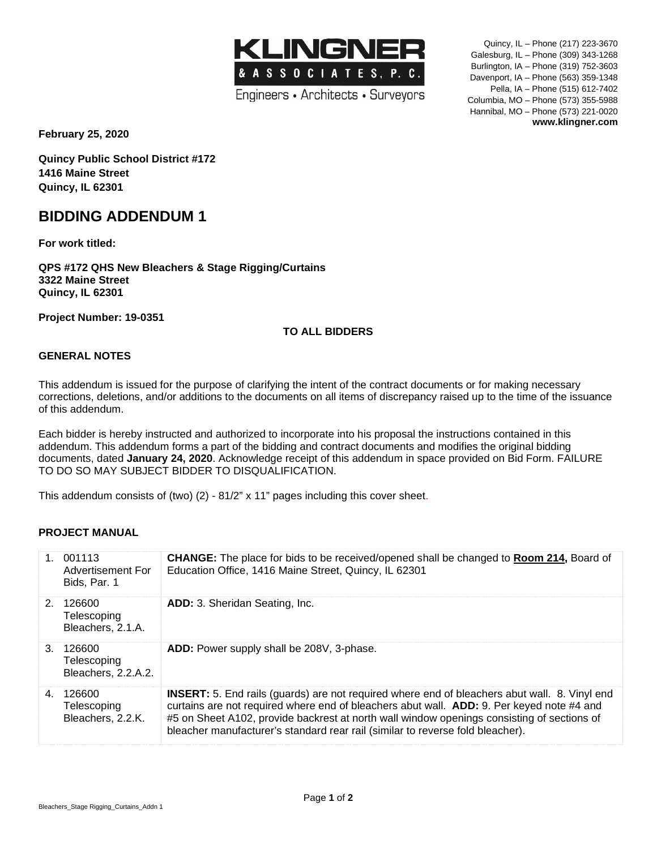Engineers • Architects • Surveyors

**KLINGNER** 

& A S S O C I A T E S, P. C.

Quincy, IL – Phone (217) 223-3670 Galesburg, IL – Phone (309) 343-1268 Burlington, IA – Phone (319) 752-3603 Davenport, IA – Phone (563) 359-1348 Pella, IA – Phone (515) 612-7402 Columbia, MO – Phone (573) 355-5988 Hannibal, MO – Phone (573) 221-0020 **www.klingner.com**

**February 25, 2020**

**Quincy Public School District #172 1416 Maine Street Quincy, IL 62301**

## **BIDDING ADDENDUM 1**

**For work titled:**

**QPS #172 QHS New Bleachers & Stage Rigging/Curtains 3322 Maine Street Quincy, IL 62301**

**Project Number: 19-0351**

## **TO ALL BIDDERS**

## **GENERAL NOTES**

This addendum is issued for the purpose of clarifying the intent of the contract documents or for making necessary corrections, deletions, and/or additions to the documents on all items of discrepancy raised up to the time of the issuance of this addendum.

Each bidder is hereby instructed and authorized to incorporate into his proposal the instructions contained in this addendum. This addendum forms a part of the bidding and contract documents and modifies the original bidding documents, dated **January 24, 2020**. Acknowledge receipt of this addendum in space provided on Bid Form. FAILURE TO DO SO MAY SUBJECT BIDDER TO DISQUALIFICATION.

This addendum consists of (two) (2) - 81/2" x 11" pages including this cover sheet.

### **PROJECT MANUAL**

|         | 1. 001113<br>Advertisement For<br>Bids, Par. 1 | <b>CHANGE:</b> The place for bids to be received/opened shall be changed to <b>Room 214, Board of</b><br>Education Office, 1416 Maine Street, Quincy, IL 62301                                                                                                                                                                                                                    |
|---------|------------------------------------------------|-----------------------------------------------------------------------------------------------------------------------------------------------------------------------------------------------------------------------------------------------------------------------------------------------------------------------------------------------------------------------------------|
|         | 2. 126600<br>Telescoping<br>Bleachers, 2.1.A.  | <b>ADD:</b> 3. Sheridan Seating, Inc.                                                                                                                                                                                                                                                                                                                                             |
| $3_{-}$ | 126600<br>Telescoping<br>Bleachers, 2.2.A.2.   | ADD: Power supply shall be 208V, 3-phase.                                                                                                                                                                                                                                                                                                                                         |
| 4.      | 126600<br>Telescoping<br>Bleachers, 2.2.K.     | <b>INSERT:</b> 5. End rails (guards) are not required where end of bleachers abut wall. 8. Vinyl end<br>curtains are not required where end of bleachers abut wall. ADD: 9. Per keyed note #4 and<br>#5 on Sheet A102, provide backrest at north wall window openings consisting of sections of<br>bleacher manufacturer's standard rear rail (similar to reverse fold bleacher). |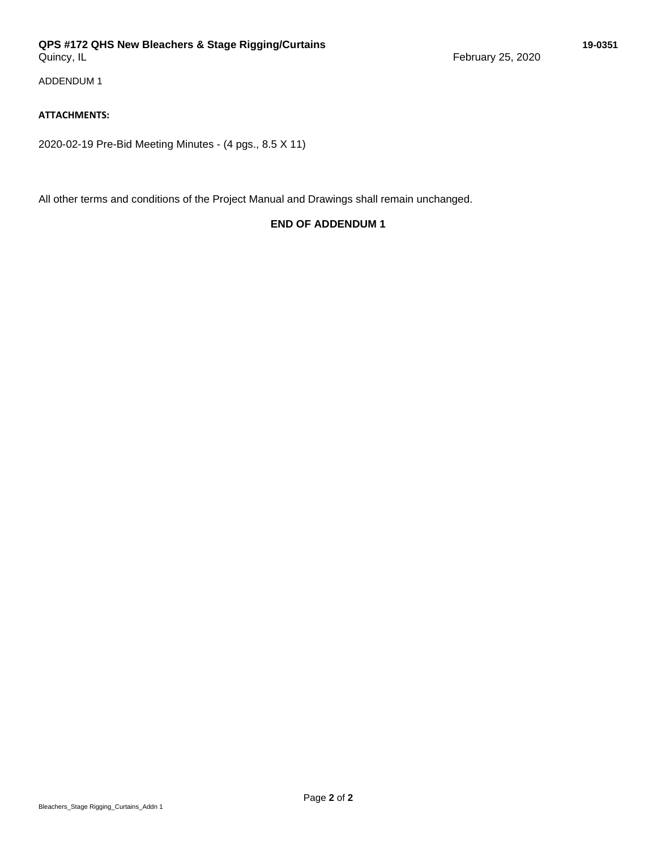## **QPS #172 QHS New Bleachers & Stage Rigging/Curtains 19-0351**

ADDENDUM 1

## **ATTACHMENTS:**

2020-02-19 Pre-Bid Meeting Minutes - (4 pgs., 8.5 X 11)

All other terms and conditions of the Project Manual and Drawings shall remain unchanged.

## **END OF ADDENDUM 1**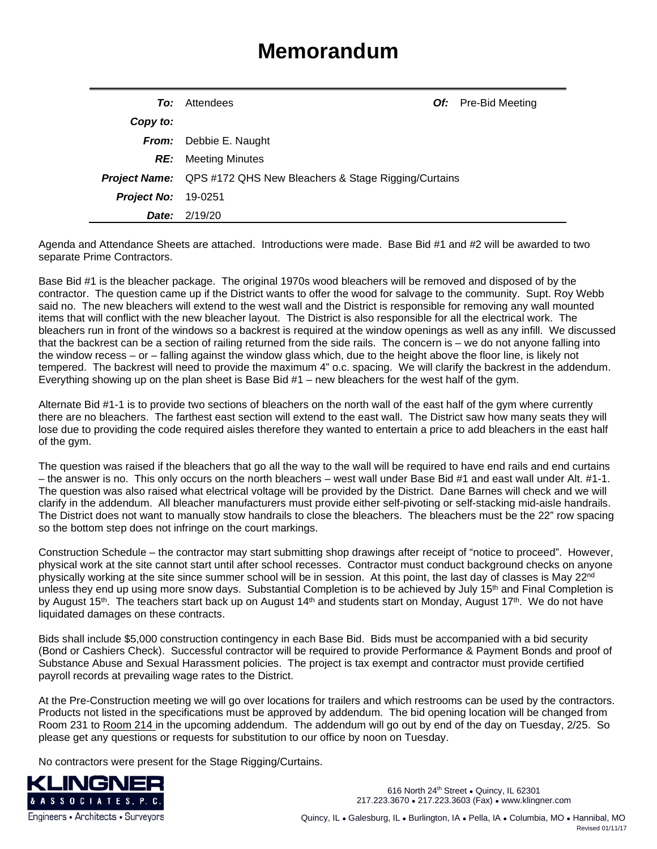# **Memorandum**

| To:                        | Attendees                                                                |  | <b>Of:</b> Pre-Bid Meeting |
|----------------------------|--------------------------------------------------------------------------|--|----------------------------|
| Copy to:                   |                                                                          |  |                            |
|                            | <b>From:</b> Debbie E. Naught                                            |  |                            |
|                            | <b>RE:</b> Meeting Minutes                                               |  |                            |
|                            | <b>Project Name:</b> QPS #172 QHS New Bleachers & Stage Rigging/Curtains |  |                            |
| <b>Project No: 19-0251</b> |                                                                          |  |                            |
| Date:                      | 2/19/20                                                                  |  |                            |

Agenda and Attendance Sheets are attached. Introductions were made. Base Bid #1 and #2 will be awarded to two separate Prime Contractors.

Base Bid #1 is the bleacher package. The original 1970s wood bleachers will be removed and disposed of by the contractor. The question came up if the District wants to offer the wood for salvage to the community. Supt. Roy Webb said no. The new bleachers will extend to the west wall and the District is responsible for removing any wall mounted items that will conflict with the new bleacher layout. The District is also responsible for all the electrical work. The bleachers run in front of the windows so a backrest is required at the window openings as well as any infill. We discussed that the backrest can be a section of railing returned from the side rails. The concern is – we do not anyone falling into the window recess – or – falling against the window glass which, due to the height above the floor line, is likely not tempered. The backrest will need to provide the maximum 4" o.c. spacing. We will clarify the backrest in the addendum. Everything showing up on the plan sheet is Base Bid #1 – new bleachers for the west half of the gym.

Alternate Bid #1-1 is to provide two sections of bleachers on the north wall of the east half of the gym where currently there are no bleachers. The farthest east section will extend to the east wall. The District saw how many seats they will lose due to providing the code required aisles therefore they wanted to entertain a price to add bleachers in the east half of the gym.

The question was raised if the bleachers that go all the way to the wall will be required to have end rails and end curtains – the answer is no. This only occurs on the north bleachers – west wall under Base Bid #1 and east wall under Alt. #1-1. The question was also raised what electrical voltage will be provided by the District. Dane Barnes will check and we will clarify in the addendum. All bleacher manufacturers must provide either self-pivoting or self-stacking mid-aisle handrails. The District does not want to manually stow handrails to close the bleachers. The bleachers must be the 22" row spacing so the bottom step does not infringe on the court markings.

Construction Schedule – the contractor may start submitting shop drawings after receipt of "notice to proceed". However, physical work at the site cannot start until after school recesses. Contractor must conduct background checks on anyone physically working at the site since summer school will be in session. At this point, the last day of classes is May 22<sup>nd</sup> unless they end up using more snow days. Substantial Completion is to be achieved by July 15<sup>th</sup> and Final Completion is by August 15<sup>th</sup>. The teachers start back up on August 14<sup>th</sup> and students start on Monday, August 17<sup>th</sup>. We do not have liquidated damages on these contracts.

Bids shall include \$5,000 construction contingency in each Base Bid. Bids must be accompanied with a bid security (Bond or Cashiers Check). Successful contractor will be required to provide Performance & Payment Bonds and proof of Substance Abuse and Sexual Harassment policies. The project is tax exempt and contractor must provide certified payroll records at prevailing wage rates to the District.

At the Pre-Construction meeting we will go over locations for trailers and which restrooms can be used by the contractors. Products not listed in the specifications must be approved by addendum. The bid opening location will be changed from Room 231 to Room 214 in the upcoming addendum. The addendum will go out by end of the day on Tuesday, 2/25. So please get any questions or requests for substitution to our office by noon on Tuesday.

No contractors were present for the Stage Rigging/Curtains.



616 North 24<sup>th</sup> Street • Quincy, IL 62301 217.223.3670 ● 217.223.3603 (Fax) ● www.klingner.com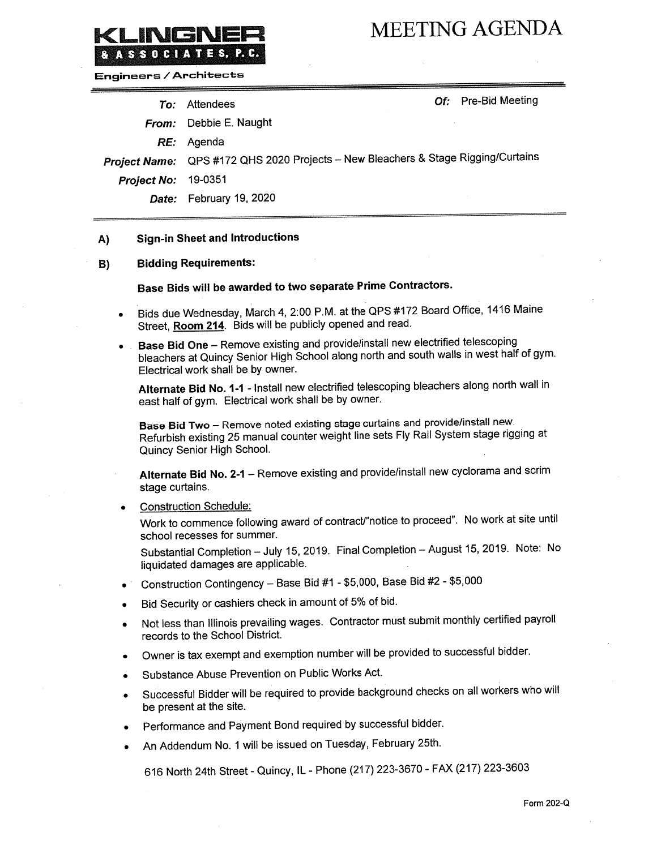## **MEETING AGENDA**

**Engineers / Architects** 

INGN

ASSOCIATES, P.C.

| Of: Pre-Bid Meeting<br>To: Attendees                                              |
|-----------------------------------------------------------------------------------|
| From: Debbie E. Naught                                                            |
| RE: Agenda                                                                        |
| Project Name: QPS #172 QHS 2020 Projects - New Bleachers & Stage Rigging/Curtains |
| <b>Project No: 19-0351</b>                                                        |
| Date: February 19, 2020                                                           |
|                                                                                   |

### **Sign-in Sheet and Introductions**  $A$

#### **Bidding Requirements:** B)

## Base Bids will be awarded to two separate Prime Contractors.

- Bids due Wednesday, March 4, 2:00 P.M. at the QPS #172 Board Office, 1416 Maine Street, Room 214. Bids will be publicly opened and read.
- Base Bid One Remove existing and provide/install new electrified telescoping  $\bullet$ bleachers at Quincy Senior High School along north and south walls in west half of gym. Electrical work shall be by owner.

Alternate Bid No. 1-1 - Install new electrified telescoping bleachers along north wall in east half of gym. Electrical work shall be by owner.

Base Bid Two - Remove noted existing stage curtains and provide/install new. Refurbish existing 25 manual counter weight line sets Fly Rail System stage rigging at Quincy Senior High School.

Alternate Bid No. 2-1 - Remove existing and provide/install new cyclorama and scrim stage curtains.

**Construction Schedule:** 

Work to commence following award of contract/"notice to proceed". No work at site until school recesses for summer.

Substantial Completion - July 15, 2019. Final Completion - August 15, 2019. Note: No liquidated damages are applicable.

- Construction Contingency Base Bid #1 \$5,000, Base Bid #2 \$5,000
- Bid Security or cashiers check in amount of 5% of bid.
- Not less than Illinois prevailing wages. Contractor must submit monthly certified payroll records to the School District.
- Owner is tax exempt and exemption number will be provided to successful bidder.
- Substance Abuse Prevention on Public Works Act.
- Successful Bidder will be required to provide background checks on all workers who will be present at the site.
- Performance and Payment Bond required by successful bidder.
- An Addendum No. 1 will be issued on Tuesday, February 25th.

616 North 24th Street - Quincy, IL - Phone (217) 223-3670 - FAX (217) 223-3603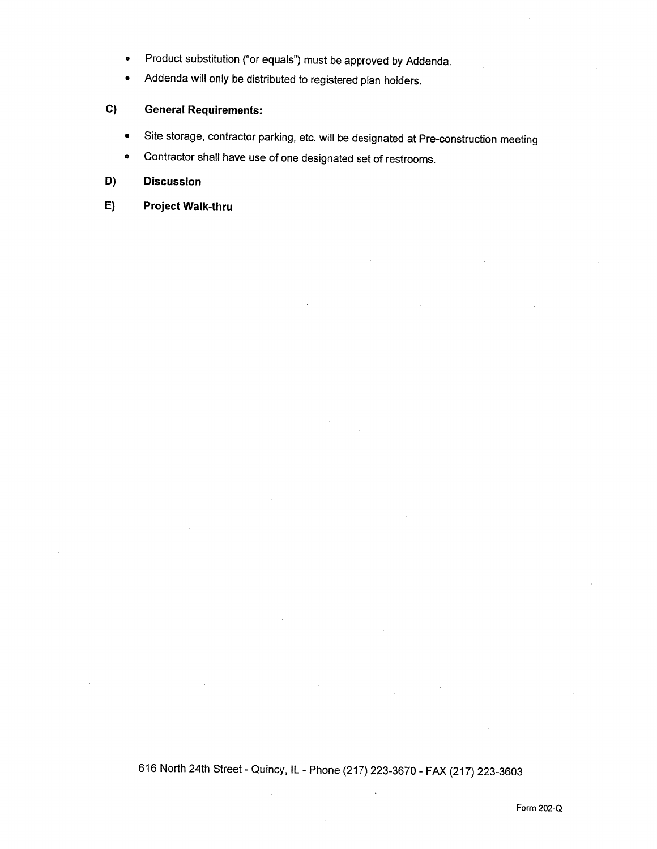- Product substitution ("or equals") must be approved by Addenda.  $\bullet$
- Addenda will only be distributed to registered plan holders.  $\bullet$

### $C)$ **General Requirements:**

- Site storage, contractor parking, etc. will be designated at Pre-construction meeting  $\bullet$
- Contractor shall have use of one designated set of restrooms.  $\bullet$

### D) **Discussion**

### **Project Walk-thru**  $E)$

616 North 24th Street - Quincy, IL - Phone (217) 223-3670 - FAX (217) 223-3603